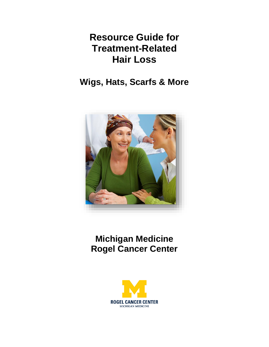# **Resource Guide for Treatment-Related Hair Loss**

**Wigs, Hats, Scarfs & More**



**Michigan Medicine Rogel Cancer Center** 

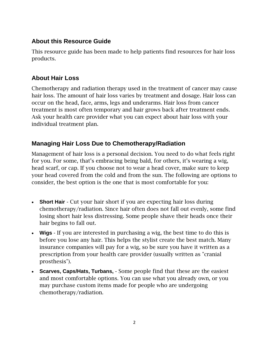## **About this Resource Guide**

This resource guide has been made to help patients find resources for hair loss products.

## **About Hair Loss**

Chemotherapy and radiation therapy used in the treatment of cancer may cause hair loss. The amount of hair loss varies by treatment and dosage. Hair loss can occur on the head, face, arms, legs and underarms. Hair loss from cancer treatment is most often temporary and hair grows back after treatment ends. Ask your health care provider what you can expect about hair loss with your individual treatment plan.

## **Managing Hair Loss Due to Chemotherapy/Radiation**

Management of hair loss is a personal decision. You need to do what feels right for you. For some, that's embracing being bald, for others, it's wearing a wig, head scarf, or cap. If you choose not to wear a head cover, make sure to keep your head covered from the cold and from the sun. The following are options to consider, the best option is the one that is most comfortable for you:

- **Short Hair** Cut your hair short if you are expecting hair loss during chemotherapy/radiation. Since hair often does not fall out evenly, some find losing short hair less distressing. Some people shave their heads once their hair begins to fall out.
- **Wigs** If you are interested in purchasing a wig, the best time to do this is before you lose any hair. This helps the stylist create the best match. Many insurance companies will pay for a wig, so be sure you have it written as a prescription from your health care provider (usually written as "cranial prosthesis").
- **Scarves, Caps/Hats, Turbans,**  Some people find that these are the easiest and most comfortable options. You can use what you already own, or you may purchase custom items made for people who are undergoing chemotherapy/radiation.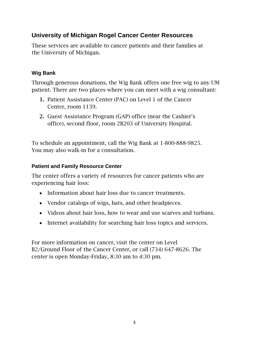## **University of Michigan Rogel Cancer Center Resources**

These services are available to cancer patients and their families at the University of Michigan.

## **Wig Bank**

Through generous donations, the Wig Bank offers one free wig to any UM patient. There are two places where you can meet with a wig consultant:

- 1. Patient Assistance Center (PAC) on Level 1 of the Cancer Center, room 1139.
- 2. Guest Assistance Program (GAP) office (near the Cashier's office), second floor, room 2B203 of University Hospital.

To schedule an appointment, call the Wig Bank at 1-800-888-9825. You may also walk-in for a consultation.

### **Patient and Family Resource Center**

The center offers a variety of resources for cancer patients who are experiencing hair loss:

- Information about hair loss due to cancer treatments.
- Vendor catalogs of wigs, hats, and other headpieces.
- Videos about hair loss, how to wear and use scarves and turbans.
- Internet availability for searching hair loss topics and services.

For more information on cancer, visit the center on Level B2/Ground Floor of the Cancer Center, or call (734) 647-8626. The center is open Monday-Friday, 8:30 am to 4:30 pm.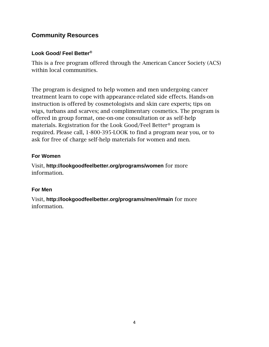## **Community Resources**

#### **Look Good/ Feel Better®**

This is a free program offered through the American Cancer Society (ACS) within local communities.

The program is designed to help women and men undergoing cancer treatment learn to cope with appearance-related side effects. Hands-on instruction is offered by cosmetologists and skin care experts; tips on wigs, turbans and scarves; and complimentary cosmetics. The program is offered in group format, one-on-one consultation or as self-help materials. Registration for the Look Good/Feel Better® program is required. Please call, 1-800-395-LOOK to find a program near you, or to ask for free of charge self-help materials for women and men.

#### **For Women**

Visit, **http://lookgoodfeelbetter.org/programs/women** for more information.

#### **For Men**

Visit, **http://lookgoodfeelbetter.org/programs/men/#main** for more information.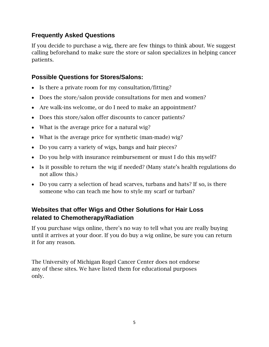## **Frequently Asked Questions**

If you decide to purchase a wig, there are few things to think about. We suggest calling beforehand to make sure the store or salon specializes in helping cancer patients.

## **Possible Questions for Stores/Salons:**

- Is there a private room for my consultation/fitting?
- Does the store/salon provide consultations for men and women?
- Are walk-ins welcome, or do I need to make an appointment?
- Does this store/salon offer discounts to cancer patients?
- What is the average price for a natural wig?
- What is the average price for synthetic (man-made) wig?
- Do you carry a variety of wigs, bangs and hair pieces?
- Do you help with insurance reimbursement or must I do this myself?
- Is it possible to return the wig if needed? (Many state's health regulations do not allow this.)
- Do you carry a selection of head scarves, turbans and hats? If so, is there someone who can teach me how to style my scarf or turban?

## **Websites that offer Wigs and Other Solutions for Hair Loss related to Chemotherapy/Radiation**

If you purchase wigs online, there's no way to tell what you are really buying until it arrives at your door. If you do buy a wig online, be sure you can return it for any reason.

The University of Michigan Rogel Cancer Center does not endorse any of these sites. We have listed them for educational purposes only.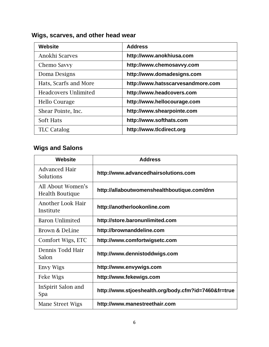## **Wigs, scarves, and other head wear**

| <b>Website</b>              | <b>Address</b>                    |
|-----------------------------|-----------------------------------|
| Anokhi Scarves              | http://www.anokhiusa.com          |
| Chemo Savvy                 | http://www.chemosavvy.com         |
| Doma Designs                | http://www.domadesigns.com        |
| Hats, Scarfs and More       | http://www.hatsscarvesandmore.com |
| <b>Headcovers Unlimited</b> | http://www.headcovers.com         |
| <b>Hello Courage</b>        | http://www.hellocourage.com       |
| Shear Pointe, Inc.          | http://www.shearpointe.com        |
| Soft Hats                   | http://www.softhats.com           |
| <b>TLC Catalog</b>          | http://www.tlcdirect.org          |

## **Wigs and Salons**

| Website                                     | <b>Address</b>                                       |
|---------------------------------------------|------------------------------------------------------|
| <b>Advanced Hair</b><br>Solutions           | http://www.advancedhairsolutions.com                 |
| All About Women's<br><b>Health Boutique</b> | http://allaboutwomenshealthboutique.com/dnn          |
| <b>Another Look Hair</b><br>Institute       | http://anotherlookonline.com                         |
| <b>Baron Unlimited</b>                      | http://store.baronunlimited.com                      |
| Brown & DeLine                              | http://brownanddeline.com                            |
| Comfort Wigs, ETC                           | http://www.comfortwigsetc.com                        |
| Dennis Todd Hair<br>Salon                   | http://www.dennistoddwigs.com                        |
| Envy Wigs                                   | http://www.envywigs.com                              |
| Feke Wigs                                   | http://www.fekewigs.com                              |
| InSpirit Salon and<br>Spa                   | http://www.stjoeshealth.org/body.cfm?id=7460&fr=true |
| Mane Street Wigs                            | http://www.manestreethair.com                        |